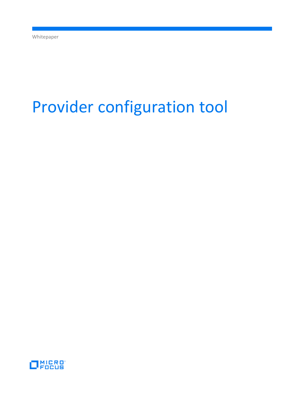# Provider configuration tool

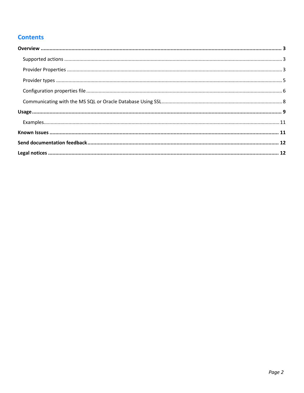# **Contents**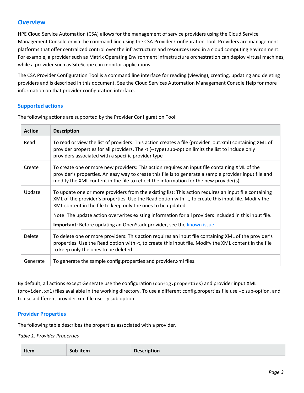# <span id="page-2-0"></span>**Overview**

HPE Cloud Service Automation (CSA) allows for the management of service providers using the Cloud Service Management Console or via the command line using the CSA Provider Configuration Tool. Providers are management platforms that offer centralized control over the infrastructure and resources used in a cloud computing environment. For example, a provider such as Matrix Operating Environment infrastructure orchestration can deploy virtual machines, while a provider such as SiteScope can monitor applications.

The CSA Provider Configuration Tool is a command line interface for reading (viewing), creating, updating and deleting providers and is described in this document. See the Cloud Services Automation Management Console Help for more information on that provider configuration interface.

## <span id="page-2-1"></span>**Supported actions**

The following actions are supported by the Provider Configuration Tool:

| <b>Action</b> | <b>Description</b>                                                                                                                                                                                                                                                                                |
|---------------|---------------------------------------------------------------------------------------------------------------------------------------------------------------------------------------------------------------------------------------------------------------------------------------------------|
| Read          | To read or view the list of providers: This action creates a file (provider out.xml) containing XML of<br>provider properties for all providers. The -t (--type) sub-option limits the list to include only<br>providers associated with a specific provider type                                 |
| Create        | To create one or more new providers: This action requires an input file containing XML of the<br>provider's properties. An easy way to create this file is to generate a sample provider input file and<br>modify the XML content in the file to reflect the information for the new provider(s). |
| Update        | To update one or more providers from the existing list: This action requires an input file containing<br>XML of the provider's properties. Use the Read option with -t, to create this input file. Modify the<br>XML content in the file to keep only the ones to be updated.                     |
|               | Note: The update action overwrites existing information for all providers included in this input file.<br>Important: Before updating an OpenStack provider, see the known issue.                                                                                                                  |
| Delete        | To delete one or more providers: This action requires an input file containing XML of the provider's<br>properties. Use the Read option with -t, to create this input file. Modify the XML content in the file<br>to keep only the ones to be deleted.                                            |
| Generate      | To generate the sample config.properties and provider.xml files.                                                                                                                                                                                                                                  |

By default, all actions except Generate use the configuration (config.properties) and provider input XML (provider.xml) files available in the working directory. To use a different config.properties file use -c sub-option, and to use a different provider.xml file use -p sub option.

## <span id="page-2-2"></span>**Provider Properties**

The following table describes the properties associated with a provider.

*Table 1. Provider Properties*

| Sub-item<br>Item | <b>Description</b> |
|------------------|--------------------|
|------------------|--------------------|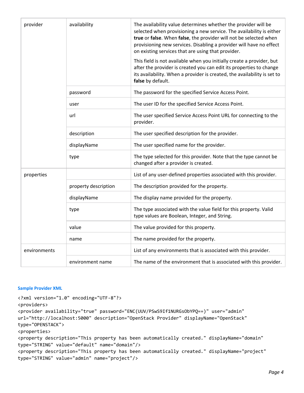| provider     | availability         | The availability value determines whether the provider will be<br>selected when provisioning a new service. The availability is either<br>true or false. When false, the provider will not be selected when<br>provisioning new services. Disabling a provider will have no effect<br>on existing services that are using that provider.<br>This field is not available when you initially create a provider, but<br>after the provider is created you can edit its properties to change<br>its availability. When a provider is created, the availability is set to<br>false by default. |
|--------------|----------------------|-------------------------------------------------------------------------------------------------------------------------------------------------------------------------------------------------------------------------------------------------------------------------------------------------------------------------------------------------------------------------------------------------------------------------------------------------------------------------------------------------------------------------------------------------------------------------------------------|
|              | password             | The password for the specified Service Access Point.                                                                                                                                                                                                                                                                                                                                                                                                                                                                                                                                      |
|              | user                 | The user ID for the specified Service Access Point.                                                                                                                                                                                                                                                                                                                                                                                                                                                                                                                                       |
|              | url                  | The user specified Service Access Point URL for connecting to the<br>provider.                                                                                                                                                                                                                                                                                                                                                                                                                                                                                                            |
|              | description          | The user specified description for the provider.                                                                                                                                                                                                                                                                                                                                                                                                                                                                                                                                          |
|              | displayName          | The user specified name for the provider.                                                                                                                                                                                                                                                                                                                                                                                                                                                                                                                                                 |
|              | type                 | The type selected for this provider. Note that the type cannot be<br>changed after a provider is created.                                                                                                                                                                                                                                                                                                                                                                                                                                                                                 |
| properties   |                      | List of any user-defined properties associated with this provider.                                                                                                                                                                                                                                                                                                                                                                                                                                                                                                                        |
|              | property description | The description provided for the property.                                                                                                                                                                                                                                                                                                                                                                                                                                                                                                                                                |
|              | displayName          | The display name provided for the property.                                                                                                                                                                                                                                                                                                                                                                                                                                                                                                                                               |
|              | type                 | The type associated with the value field for this property. Valid<br>type values are Boolean, Integer, and String.                                                                                                                                                                                                                                                                                                                                                                                                                                                                        |
|              | value                | The value provided for this property.                                                                                                                                                                                                                                                                                                                                                                                                                                                                                                                                                     |
|              | name                 | The name provided for the property.                                                                                                                                                                                                                                                                                                                                                                                                                                                                                                                                                       |
| environments |                      | List of any environments that is associated with this provider.                                                                                                                                                                                                                                                                                                                                                                                                                                                                                                                           |
|              | environment name     | The name of the environment that is associated with this provider.                                                                                                                                                                                                                                                                                                                                                                                                                                                                                                                        |

#### **Sample Provider XML**

```
<?xml version="1.0" encoding="UTF-8"?>
<providers>
<provider availability="true" password="ENC(UUV/PSwS9If1NURGsObYPQ==)" user="admin" 
url="http://localhost:5000" description="OpenStack Provider" displayName="OpenStack" 
type="OPENSTACK">
<properties>
<property description="This property has been automatically created." displayName="domain" 
type="STRING" value="default" name="domain"/>
<property description="This property has been automatically created." displayName="project" 
type="STRING" value="admin" name="project"/>
```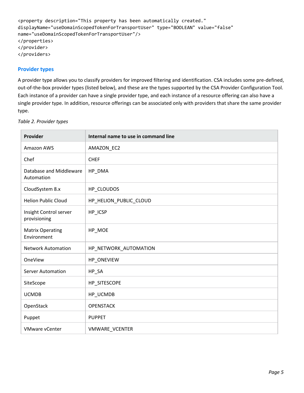```
<property description="This property has been automatically created." 
displayName="useDomainScopedTokenForTransportUser" type="BOOLEAN" value="false" 
name="useDomainScopedTokenForTransportUser"/>
</properties>
</provider>
</providers>
```
## <span id="page-4-0"></span>**Provider types**

A provider type allows you to classify providers for improved filtering and identification. CSA includes some pre-defined, out-of-the-box provider types (listed below), and these are the types supported by the CSA Provider Configuration Tool. Each instance of a provider can have a single provider type, and each instance of a resource offering can also have a single provider type. In addition, resource offerings can be associated only with providers that share the same provider type.

| Provider                               | Internal name to use in command line |
|----------------------------------------|--------------------------------------|
| Amazon AWS                             | AMAZON_EC2                           |
| Chef                                   | <b>CHEF</b>                          |
| Database and Middleware<br>Automation  | HP_DMA                               |
| CloudSystem 8.x                        | HP_CLOUDOS                           |
| <b>Helion Public Cloud</b>             | HP_HELION_PUBLIC_CLOUD               |
| Insight Control server<br>provisioning | HP_ICSP                              |
| <b>Matrix Operating</b><br>Environment | HP_MOE                               |
| <b>Network Automation</b>              | HP_NETWORK_AUTOMATION                |
| OneView                                | HP_ONEVIEW                           |
| Server Automation                      | HP_SA                                |
| SiteScope                              | HP_SITESCOPE                         |
| <b>UCMDB</b>                           | HP_UCMDB                             |
| OpenStack                              | <b>OPENSTACK</b>                     |
| Puppet                                 | <b>PUPPET</b>                        |
| <b>VMware vCenter</b>                  | <b>VMWARE VCENTER</b>                |

*Table 2. Provider types*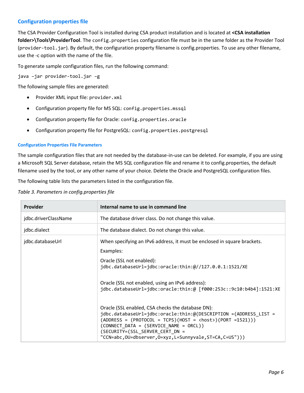## <span id="page-5-0"></span>**Configuration properties file**

The CSA Provider Configuration Tool is installed during CSA product installation and is located at **<CSA installation folder>\Tools\ProviderTool**. The config.properties configuration file must be in the same folder as the Provider Tool (provider-tool.jar). By default, the configuration property filename is config.properties. To use any other filename, use the -c option with the name of the file.

To generate sample configuration files, run the following command:

java –jar provider-tool.jar –g

The following sample files are generated:

- Provider XML input file: provider.xml
- Configuration property file for MS SQL: config.properties.mssql
- Configuration property file for Oracle: config.properties.oracle
- Configuration property file for PostgreSQL: config.properties.postgresql

#### **Configuration Properties File Parameters**

The sample configuration files that are not needed by the database-in-use can be deleted. For example, if you are using a Microsoft SQL Server database, retain the MS SQL configuration file and rename it to config.properties, the default filename used by the tool, or any other name of your choice. Delete the Oracle and PostgreSQL configuration files.

The following table lists the parameters listed in the configuration file.

*Table 3. Parameters in config.properties file*

| Provider             | Internal name to use in command line                                                                                                                                                                                                                                                                                                                                                                                                                                                                                                                                                                                                     |  |
|----------------------|------------------------------------------------------------------------------------------------------------------------------------------------------------------------------------------------------------------------------------------------------------------------------------------------------------------------------------------------------------------------------------------------------------------------------------------------------------------------------------------------------------------------------------------------------------------------------------------------------------------------------------------|--|
| jdbc.driverClassName | The database driver class. Do not change this value.                                                                                                                                                                                                                                                                                                                                                                                                                                                                                                                                                                                     |  |
| jdbc.dialect         | The database dialect. Do not change this value.                                                                                                                                                                                                                                                                                                                                                                                                                                                                                                                                                                                          |  |
| jdbc.databaseUrl     | When specifying an IPv6 address, it must be enclosed in square brackets.<br>Examples:<br>Oracle (SSL not enabled):<br>jdbc.databaseUrl=jdbc:oracle:thin:@//127.0.0.1:1521/XE<br>Oracle (SSL not enabled, using an IPv6 address):<br>jdbc.databaseUrl=jdbc:oracle:thin:@ [f000:253c::9c10:b4b4]:1521:XE<br>Oracle (SSL enabled, CSA checks the database DN):<br>jdbc.databaseUrl=jdbc:oracle:thin:@(DESCRIPTION =(ADDRESS LIST =<br>$(ADDRESS = (PROTOCOL = TCPS)(HOST = <>host>)(PORT = 1521)))$<br>$(CONNECT DATA = (SERVICE NAME = ORCL))$<br>(SECURITY=(SSL SERVER CERT DN =<br>"CCN=abc,OU=dbserver,O=xyz,L=Sunnyvale,ST=CA,C=US"))) |  |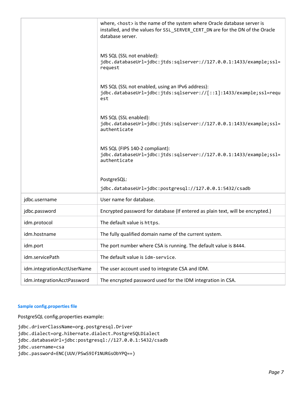|                             | where, <host> is the name of the system where Oracle database server is<br/>installed, and the values for SSL_SERVER_CERT_DN are for the DN of the Oracle<br/>database server.</host> |
|-----------------------------|---------------------------------------------------------------------------------------------------------------------------------------------------------------------------------------|
|                             | MS SQL (SSL not enabled):<br>jdbc.databaseUrl=jdbc:jtds:sqlserver://127.0.0.1:1433/example;ssl=<br>request                                                                            |
|                             | MS SQL (SSL not enabled, using an IPv6 address):<br>jdbc.databaseUrl=jdbc:jtds:sqlserver://[::1]:1433/example;ssl=requ<br>est                                                         |
|                             | MS SQL (SSL enabled):<br>jdbc.databaseUrl=jdbc:jtds:sqlserver://127.0.0.1:1433/example;ssl=<br>authenticate                                                                           |
|                             | MS SQL (FIPS 140-2 compliant):<br>jdbc.databaseUrl=jdbc:jtds:sqlserver://127.0.0.1:1433/example;ssl=<br>authenticate                                                                  |
|                             | PostgreSQL:                                                                                                                                                                           |
|                             | jdbc.databaseUrl=jdbc:postgresql://127.0.0.1:5432/csadb                                                                                                                               |
| jdbc.username               | User name for database.                                                                                                                                                               |
| jdbc.password               | Encrypted password for database (If entered as plain text, will be encrypted.)                                                                                                        |
| idm.protocol                | The default value is https.                                                                                                                                                           |
| idm.hostname                | The fully qualified domain name of the current system.                                                                                                                                |
| idm.port                    | The port number where CSA is running. The default value is 8444.                                                                                                                      |
| idm.servicePath             | The default value is idm-service.                                                                                                                                                     |
| idm.integrationAcctUserName | The user account used to integrate CSA and IDM.                                                                                                                                       |
| idm.integrationAcctPassword | The encrypted password used for the IDM integration in CSA.                                                                                                                           |

### **Sample config.properties file**

PostgreSQL config.properties example:

jdbc.driverClassName=org.postgresql.Driver jdbc.dialect=org.hibernate.dialect.PostgreSQLDialect jdbc.databaseUrl=jdbc:postgresql://127.0.0.1:5432/csadb jdbc.username=csa jdbc.password=ENC(UUV/PSwS9If1NURGsObYPQ==)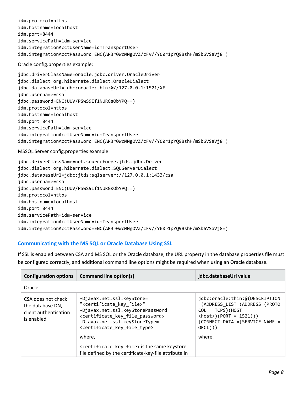idm.protocol=https idm.hostname=localhost idm.port=8444 idm.servicePath=idm-service idm.integrationAcctUserName=idmTransportUser idm.integrationAcctPassword=ENC(AR3r0wcMNgOVZ/cFv//Y60r1pYQ9BshH/mSb6VSaVj8=)

Oracle config.properties example:

jdbc.driverClassName=oracle.jdbc.driver.OracleDriver jdbc.dialect=org.hibernate.dialect.OracleDialect jdbc.databaseUrl=jdbc:oracle:thin:@//127.0.0.1:1521/XE jdbc.username=csa jdbc.password=ENC(UUV/PSwS9If1NURGsObYPQ==) idm.protocol=https idm.hostname=localhost idm.port=8444 idm.servicePath=idm-service idm.integrationAcctUserName=idmTransportUser idm.integrationAcctPassword=ENC(AR3r0wcMNgOVZ/cFv//Y60r1pYQ9BshH/mSb6VSaVj8=)

MSSQL Server config.properties example:

jdbc.driverClassName=net.sourceforge.jtds.jdbc.Driver jdbc.dialect=org.hibernate.dialect.SQLServerDialect jdbc.databaseUrl=jdbc:jtds:sqlserver://127.0.0.1:1433/csa jdbc.username=csa jdbc.password=ENC(UUV/PSwS9If1NURGsObYPQ==) idm.protocol=https idm.hostname=localhost idm.port=8444 idm.servicePath=idm-service idm.integrationAcctUserName=idmTransportUser idm.integrationAcctPassword=ENC(AR3r0wcMNgOVZ/cFv//Y60r1pYQ9BshH/mSb6VSaVj8=)

# <span id="page-7-0"></span>**Communicating with the MS SQL or Oracle Database Using SSL**

If SSL is enabled between CSA and MS SQL or the Oracle database, the URL property in the database properties file must be configured correctly, and additional command line options might be required when using an Oracle database.

| <b>Configuration options</b>                                                  | <b>Command line option(s)</b>                                                                                                                                                                                                                                                                                                                                                                                             | jdbc.databaseUrl value                                                                                                                                                                    |
|-------------------------------------------------------------------------------|---------------------------------------------------------------------------------------------------------------------------------------------------------------------------------------------------------------------------------------------------------------------------------------------------------------------------------------------------------------------------------------------------------------------------|-------------------------------------------------------------------------------------------------------------------------------------------------------------------------------------------|
| Oracle                                                                        |                                                                                                                                                                                                                                                                                                                                                                                                                           |                                                                                                                                                                                           |
| CSA does not check<br>the database DN,<br>client authentication<br>is enabled | -Djavax.net.ssl.keyStore=<br>" <certificate file="" key="">"<br/>-Djavax.net.ssl.keyStorePassword=<br/><certificate_key_file_password><br/>-Djavax.net.ssl.keyStoreType=<br/><certificate file="" key="" type=""><br/>where.<br/><certificate_key_file> is the same keystore<br/>file defined by the certificate-key-file attribute in</certificate_key_file></certificate></certificate_key_file_password></certificate> | jdbc:oracle:thin:@(DESCRIPTION<br>=(ADDRESS LIST=(ADDRESS=(PROTO<br>$COL = TCPS)(HOST =$<br>$\langle host \rangle$ (PORT = 1521)))<br>(CONNECT DATA = (SERVICE NAME =<br>ORCL))<br>where, |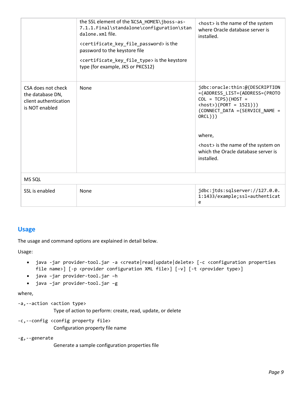|                                                                                   | the SSL element of the %CSA HOME%\jboss-as-<br>7.1.1.Final\standalone\configuration\stan<br>dalone.xml file.<br><certificate_key_file_password> is the<br/>password to the keystore file<br/><certificate_key_file_type> is the keystore<br/>type (for example, JKS or PKCS12)</certificate_key_file_type></certificate_key_file_password> | <host> is the name of the system<br/>where Oracle database server is<br/>installed.</host>                                                                                                                                                                                                     |
|-----------------------------------------------------------------------------------|--------------------------------------------------------------------------------------------------------------------------------------------------------------------------------------------------------------------------------------------------------------------------------------------------------------------------------------------|------------------------------------------------------------------------------------------------------------------------------------------------------------------------------------------------------------------------------------------------------------------------------------------------|
| CSA does not check<br>the database DN,<br>client authentication<br>is NOT enabled | <b>None</b>                                                                                                                                                                                                                                                                                                                                | jdbc:oracle:thin:@(DESCRIPTION<br>=(ADDRESS_LIST=(ADDRESS=(PROTO<br>$COL = TCPS)(HOST =$<br>$\langle host \rangle$ (PORT = 1521)))<br>(CONNECT_DATA = (SERVICE_NAME =<br>ORCL))<br>where,<br><host> is the name of the system on<br/>which the Oracle database server is<br/>installed.</host> |
| MS SQL                                                                            |                                                                                                                                                                                                                                                                                                                                            |                                                                                                                                                                                                                                                                                                |
| SSL is enabled                                                                    | None                                                                                                                                                                                                                                                                                                                                       | jdbc:jtds:sqlserver://127.0.0.<br>1:1433/example;ssl=authenticat<br>e                                                                                                                                                                                                                          |

# <span id="page-8-0"></span>**Usage**

The usage and command options are explained in detail below.

Usage:

- java -jar provider-tool.jar -a <create|read|update|delete> [-c <configuration properties file name>] [-p <provider configuration XML file>] [-v] [-t <provider type>]
- java –jar provider-tool.jar –h
- java –jar provider-tool.jar –g

where,

```
-a,--action <action type>
              Type of action to perform: create, read, update, or delete
```
-c,--config <config property file> Configuration property file name

-g,--generate

Generate a sample configuration properties file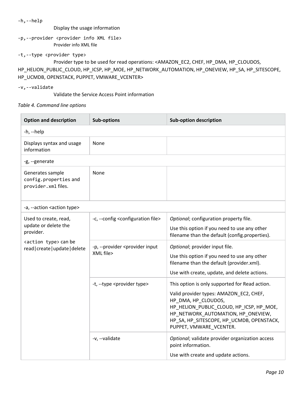| -h,--help                                                                                                           |
|---------------------------------------------------------------------------------------------------------------------|
| Display the usage information                                                                                       |
| -p,--provider <provider file="" info="" xml=""></provider>                                                          |
| Provider info XML file                                                                                              |
| -t,--type <provider type=""></provider>                                                                             |
| Provider type to be used for read operations: <amazon_ec2, chef,="" hp_cloudos,<="" hp_dma,="" td=""></amazon_ec2,> |
| HP HELION PUBLIC CLOUD, HP ICSP, HP MOE, HP NETWORK AUTOMATION, HP ONEVIEW, HP SA, HP SITESCOPE,                    |
| HP UCMDB, OPENSTACK, PUPPET, VMWARE VCENTER>                                                                        |
| -v,--validate                                                                                                       |

Validate the Service Access Point information

## *Table 4. Command line options*

| <b>Option and description</b>                                        | <b>Sub-options</b>                                           | <b>Sub-option description</b>                                                                                                                                                                                                                                              |  |
|----------------------------------------------------------------------|--------------------------------------------------------------|----------------------------------------------------------------------------------------------------------------------------------------------------------------------------------------------------------------------------------------------------------------------------|--|
| -h, --help                                                           |                                                              |                                                                                                                                                                                                                                                                            |  |
| Displays syntax and usage<br>information                             | None                                                         |                                                                                                                                                                                                                                                                            |  |
| -g, --generate                                                       |                                                              |                                                                                                                                                                                                                                                                            |  |
| Generates sample<br>config.properties and<br>provider.xml files.     | None                                                         |                                                                                                                                                                                                                                                                            |  |
| -a, --action <action type=""></action>                               |                                                              |                                                                                                                                                                                                                                                                            |  |
| Used to create, read,<br>update or delete the<br>provider.           | -c, --config <configuration file=""></configuration>         | Optional; configuration property file.<br>Use this option if you need to use any other<br>filename than the default (config.properties).                                                                                                                                   |  |
| <action type=""> can be<br/>read   create   update   delete</action> | -p, --provider <provider input<br="">XML file&gt;</provider> | Optional; provider input file.<br>Use this option if you need to use any other<br>filename than the default (provider.xml).<br>Use with create, update, and delete actions.                                                                                                |  |
|                                                                      | -t, --type <provider type=""></provider>                     | This option is only supported for Read action.<br>Valid provider types: AMAZON EC2, CHEF,<br>HP_DMA, HP_CLOUDOS,<br>HP_HELION_PUBLIC_CLOUD, HP_ICSP, HP_MOE,<br>HP_NETWORK_AUTOMATION, HP_ONEVIEW,<br>HP_SA, HP_SITESCOPE, HP_UCMDB, OPENSTACK,<br>PUPPET, VMWARE VCENTER. |  |
|                                                                      | -v, --validate                                               | Optional; validate provider organization access<br>point information.<br>Use with create and update actions.                                                                                                                                                               |  |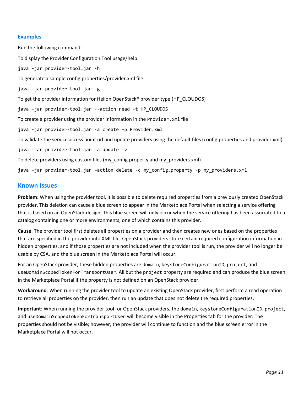### <span id="page-10-0"></span>**Examples**

Run the following command: To display the Provider Configuration Tool usage/help java -jar provider-tool.jar -h To generate a sample config.properties/provider.xml file java -jar provider-tool.jar -g To get the provider information for Helion OpenStack® provider type (HP\_CLOUDOS) java -jar provider-tool.jar --action read -t HP\_CLOUDOS To create a provider using the provider information in the Provider.xml file java -jar provider-tool.jar -a create -p Provider.xml To validate the service access point url and update providers using the default files (config.properties and provider.xml) java -jar provider-tool.jar -a update -v To delete providers using custom files (my\_config.property and my\_providers.xml) java –jar provider-tool.jar –action delete -c my\_config.property -p my\_providers.xml

## <span id="page-10-1"></span>**Known Issues**

**Problem**: When using the provider tool, it is possible to delete required properties from a previously created OpenStack provider. This deletion can cause a blue screen to appear in the Marketplace Portal when selecting a service offering that is based on an OpenStack design. This blue screen will only occur when the service offering has been associated to a catalog containing one or more environments, one of which contains this provider.

**Cause**: The provider tool first deletes all properties on a provider and then creates new ones based on the properties that are specified in the provider info XML file. OpenStack providers store certain required configuration information in hidden properties, and if those properties are not included when the provider tool is run, the provider will no longer be usable by CSA, and the blue screen in the Marketplace Portal will occur.

For an OpenStack provider, these hidden properties are domain, keystoneConfigurationID, project, and useDomainScopedTokenForTransportUser. All but the project property are required and can produce the blue screen in the Marketplace Portal if the property is not defined on an OpenStack provider.

**Workaround**: When running the provider tool to update an existing OpenStack provider, first perform a read operation to retrieve all properties on the provider, then run an update that does not delete the required properties.

**Important**: When running the provider tool for OpenStack providers, the domain, keystoneConfigurationID, project, and useDomainScopedTokenForTransportUser will become visible in the Properties tab for the provider. The properties should not be visible; however, the provider will continue to function and the blue screen error in the Marketplace Portal will not occur.